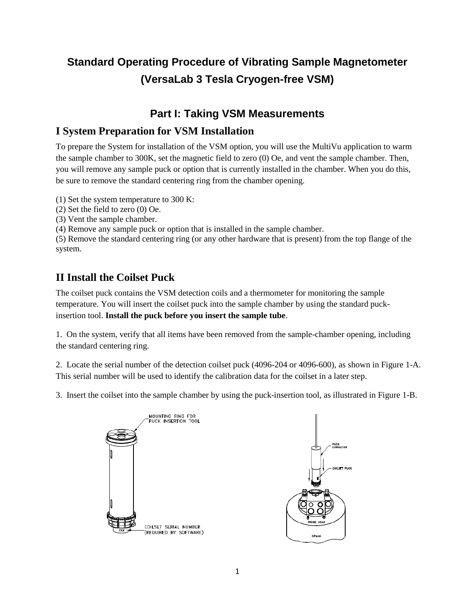# **Standard Operating Procedure of Vibrating Sample Magnetometer (VersaLab 3 Tesla Cryogen-free VSM)**

# **Part I: Taking VSM Measurements**

# **I System Preparation for VSM Installation**

To prepare the System for installation of the VSM option, you will use the MultiVu application to warm the sample chamber to 300K, set the magnetic field to zero (0) Oe, and vent the sample chamber. Then, you will remove any sample puck or option that is currently installed in the chamber. When you do this, be sure to remove the standard centering ring from the chamber opening.

(1) Set the system temperature to 300 K:

(2) Set the field to zero (0) Oe.

(3) Vent the sample chamber.

(4) Remove any sample puck or option that is installed in the sample chamber.

(5) Remove the standard centering ring (or any other hardware that is present) from the top flange of the system.

# **II Install the Coilset Puck**

The coilset puck contains the VSM detection coils and a thermometer for monitoring the sample temperature. You will insert the coilset puck into the sample chamber by using the standard puckinsertion tool. **Install the puck before you insert the sample tube**.

1. On the system, verify that all items have been removed from the sample-chamber opening, including the standard centering ring.

2. Locate the serial number of the detection coilset puck (4096-204 or 4096-600), as shown in Figure 1-A. This serial number will be used to identify the calibration data for the coilset in a later step.

3. Insert the coilset into the sample chamber by using the puck-insertion tool, as illustrated in Figure 1-B.

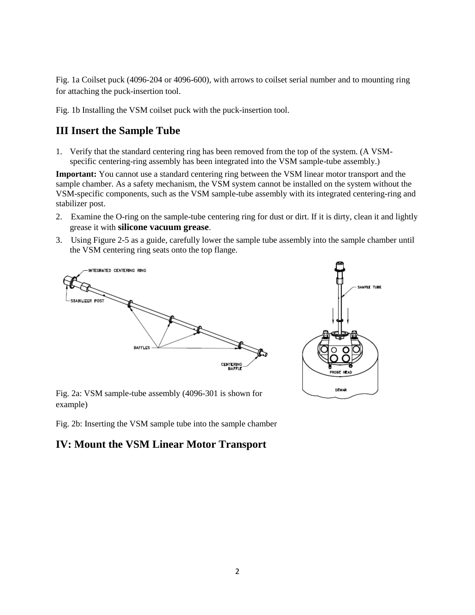Fig. 1a Coilset puck (4096-204 or 4096-600), with arrows to coilset serial number and to mounting ring for attaching the puck-insertion tool.

Fig. 1b Installing the VSM coilset puck with the puck-insertion tool.

## **III Insert the Sample Tube**

1. Verify that the standard centering ring has been removed from the top of the system. (A VSMspecific centering-ring assembly has been integrated into the VSM sample-tube assembly.)

**Important:** You cannot use a standard centering ring between the VSM linear motor transport and the sample chamber. As a safety mechanism, the VSM system cannot be installed on the system without the VSM-specific components, such as the VSM sample-tube assembly with its integrated centering-ring and stabilizer post.

- 2. Examine the O-ring on the sample-tube centering ring for dust or dirt. If it is dirty, clean it and lightly grease it with **silicone vacuum grease**.
- 3. Using Figure 2-5 as a guide, carefully lower the sample tube assembly into the sample chamber until the VSM centering ring seats onto the top flange.





Fig. 2a: VSM sample-tube assembly (4096-301 is shown for example)

Fig. 2b: Inserting the VSM sample tube into the sample chamber

## **IV: Mount the VSM Linear Motor Transport**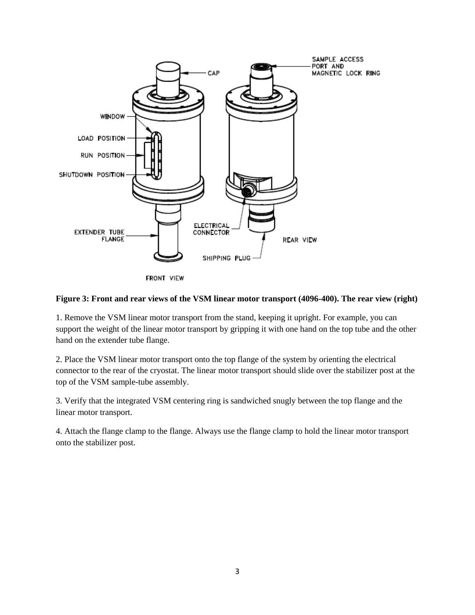

FRONT VIEW

#### **Figure 3: Front and rear views of the VSM linear motor transport (4096-400). The rear view (right)**

1. Remove the VSM linear motor transport from the stand, keeping it upright. For example, you can support the weight of the linear motor transport by gripping it with one hand on the top tube and the other hand on the extender tube flange.

2. Place the VSM linear motor transport onto the top flange of the system by orienting the electrical connector to the rear of the cryostat. The linear motor transport should slide over the stabilizer post at the top of the VSM sample-tube assembly.

3. Verify that the integrated VSM centering ring is sandwiched snugly between the top flange and the linear motor transport.

4. Attach the flange clamp to the flange. Always use the flange clamp to hold the linear motor transport onto the stabilizer post.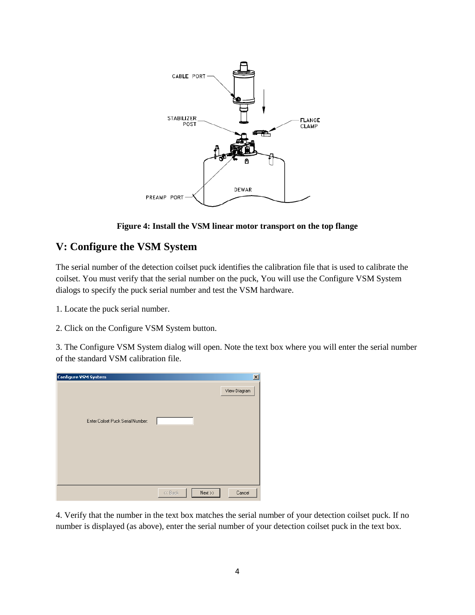

**Figure 4: Install the VSM linear motor transport on the top flange**

# **V: Configure the VSM System**

The serial number of the detection coilset puck identifies the calibration file that is used to calibrate the coilset. You must verify that the serial number on the puck, You will use the Configure VSM System dialogs to specify the puck serial number and test the VSM hardware.

1. Locate the puck serial number.

2. Click on the Configure VSM System button.

3. The Configure VSM System dialog will open. Note the text box where you will enter the serial number of the standard VSM calibration file.

| Configure VSM System              | $\mathbf{x}$                      |
|-----------------------------------|-----------------------------------|
| Enter Coilset Puck Serial Number: | View Diagram                      |
|                                   | $Next \gg$<br>Cancel<br>$<<$ Back |

4. Verify that the number in the text box matches the serial number of your detection coilset puck. If no number is displayed (as above), enter the serial number of your detection coilset puck in the text box.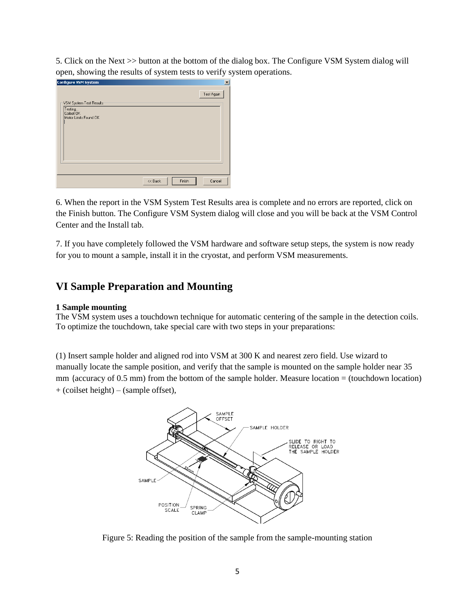5. Click on the Next >> button at the bottom of the dialog box. The Configure VSM System dialog will open, showing the results of system tests to verify system operations.

| Configure VSM System                           | $\vert x \vert$ |
|------------------------------------------------|-----------------|
| Test Again                                     |                 |
| VSM System Test Results                        |                 |
| Testing<br>Coilset OK<br>Motor Limits Found OK |                 |
|                                                |                 |
|                                                |                 |
| Finish<br><< Back<br>Cancel                    |                 |

6. When the report in the VSM System Test Results area is complete and no errors are reported, click on the Finish button. The Configure VSM System dialog will close and you will be back at the VSM Control Center and the Install tab.

7. If you have completely followed the VSM hardware and software setup steps, the system is now ready for you to mount a sample, install it in the cryostat, and perform VSM measurements.

### **VI Sample Preparation and Mounting**

#### **1 Sample mounting**

The VSM system uses a touchdown technique for automatic centering of the sample in the detection coils. To optimize the touchdown, take special care with two steps in your preparations:

(1) Insert sample holder and aligned rod into VSM at 300 K and nearest zero field. Use wizard to manually locate the sample position, and verify that the sample is mounted on the sample holder near 35 mm (accuracy of 0.5 mm) from the bottom of the sample holder. Measure location  $=$  (touchdown location) + (coilset height) – (sample offset),



Figure 5: Reading the position of the sample from the sample-mounting station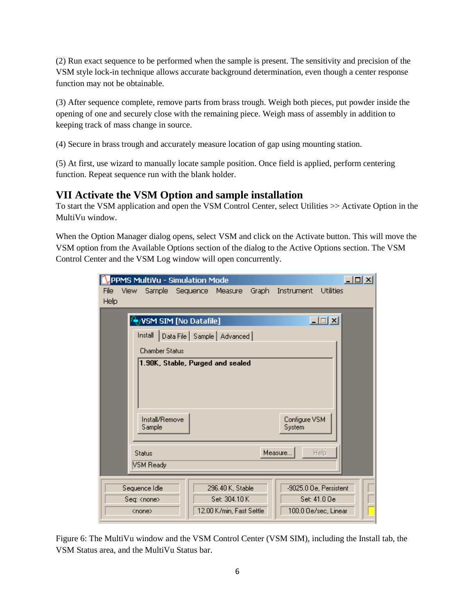(2) Run exact sequence to be performed when the sample is present. The sensitivity and precision of the VSM style lock-in technique allows accurate background determination, even though a center response function may not be obtainable.

(3) After sequence complete, remove parts from brass trough. Weigh both pieces, put powder inside the opening of one and securely close with the remaining piece. Weigh mass of assembly in addition to keeping track of mass change in source.

(4) Secure in brass trough and accurately measure location of gap using mounting station.

(5) At first, use wizard to manually locate sample position. Once field is applied, perform centering function. Repeat sequence run with the blank holder.

## **VII Activate the VSM Option and sample installation**

To start the VSM application and open the VSM Control Center, select Utilities >> Activate Option in the MultiVu window.

When the Option Manager dialog opens, select VSM and click on the Activate button. This will move the VSM option from the Available Options section of the dialog to the Active Options section. The VSM Control Center and the VSM Log window will open concurrently.

| $  $ $\Box$ $\times$ $ $<br>PPMS MultiVu - Simulation Mode                                        |  |
|---------------------------------------------------------------------------------------------------|--|
| Instrument<br><b>Utilities</b><br>File<br>View<br>Sample Sequence Measure<br>Graph<br><b>Help</b> |  |
|                                                                                                   |  |
| $\Box$ o $\Box$<br>$\rightarrow$ vSM SIM [No Datafile]                                            |  |
| Data File   Sample   Advanced  <br>Install                                                        |  |
| <b>Chamber Status</b>                                                                             |  |
| 1.90K, Stable, Purged and sealed                                                                  |  |
|                                                                                                   |  |
|                                                                                                   |  |
|                                                                                                   |  |
| Install/Remove<br>Configure VSM<br>Sample<br>System                                               |  |
|                                                                                                   |  |
| Measure<br>Help<br>Status                                                                         |  |
| VSM Ready                                                                                         |  |
|                                                                                                   |  |
| 296.40 K, Stable<br>-9025.0 Oe, Persistent<br>Sequence Idle                                       |  |
| Set: 304.10 K<br>Set: 41.0 Oe<br>Seq: <none></none>                                               |  |
| 12.00 K/min, Fast Settle<br>100.0 Oe/sec, Linear<br><none></none>                                 |  |

Figure 6: The MultiVu window and the VSM Control Center (VSM SIM), including the Install tab, the VSM Status area, and the MultiVu Status bar.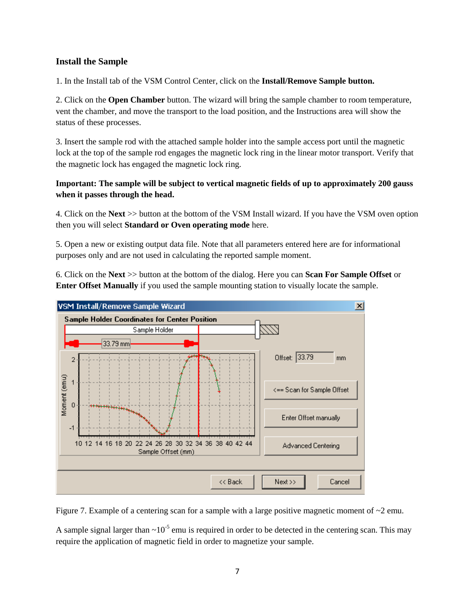#### **Install the Sample**

1. In the Install tab of the VSM Control Center, click on the **Install/Remove Sample button.** 

2. Click on the **Open Chamber** button. The wizard will bring the sample chamber to room temperature, vent the chamber, and move the transport to the load position, and the Instructions area will show the status of these processes.

3. Insert the sample rod with the attached sample holder into the sample access port until the magnetic lock at the top of the sample rod engages the magnetic lock ring in the linear motor transport. Verify that the magnetic lock has engaged the magnetic lock ring.

### **Important: The sample will be subject to vertical magnetic fields of up to approximately 200 gauss when it passes through the head.**

4. Click on the **Next** >> button at the bottom of the VSM Install wizard. If you have the VSM oven option then you will select **Standard or Oven operating mode** here.

5. Open a new or existing output data file. Note that all parameters entered here are for informational purposes only and are not used in calculating the reported sample moment.

6. Click on the **Next** >> button at the bottom of the dialog. Here you can **Scan For Sample Offset** or **Enter Offset Manually** if you used the sample mounting station to visually locate the sample.



Figure 7. Example of a centering scan for a sample with a large positive magnetic moment of  $\sim$ 2 emu.

A sample signal larger than  $\sim 10^{-5}$  emu is required in order to be detected in the centering scan. This may require the application of magnetic field in order to magnetize your sample.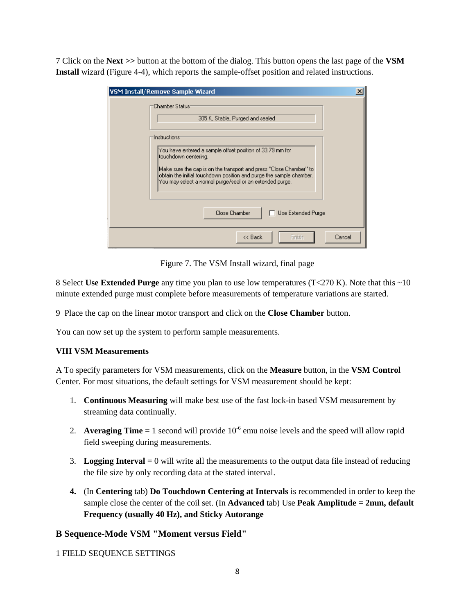7 Click on the **Next >>** button at the bottom of the dialog. This button opens the last page of the **VSM Install** wizard (Figure 4-4), which reports the sample-offset position and related instructions.

| VSM Install/Remove Sample Wizard                                                                                                                                                                                                                                                                                                                                 |  |
|------------------------------------------------------------------------------------------------------------------------------------------------------------------------------------------------------------------------------------------------------------------------------------------------------------------------------------------------------------------|--|
| Chamber Status <sup>-</sup><br>305 K, Stable, Purged and sealed                                                                                                                                                                                                                                                                                                  |  |
| Instructions <sup>-</sup><br>You have entered a sample offset position of 33.79 mm for<br>touchdown centering.<br>Make sure the cap is on the transport and press ''Close Chamber'' to<br>obtain the initial touchdown position and purge the sample chamber.<br>You may select a normal purge/seal or an extended purge.<br>Close Chamber<br>Use Extended Purge |  |
| Finish<br><< Back<br>Cancel                                                                                                                                                                                                                                                                                                                                      |  |

Figure 7. The VSM Install wizard, final page

8 Select **Use Extended Purge** any time you plan to use low temperatures (T<270 K). Note that this ~10 minute extended purge must complete before measurements of temperature variations are started.

9 Place the cap on the linear motor transport and click on the **Close Chamber** button.

You can now set up the system to perform sample measurements.

#### **VIII VSM Measurements**

A To specify parameters for VSM measurements, click on the **Measure** button, in the **VSM Control**  Center. For most situations, the default settings for VSM measurement should be kept:

- 1. **Continuous Measuring** will make best use of the fast lock-in based VSM measurement by streaming data continually.
- 2. **Averaging Time** = 1 second will provide  $10^{-6}$  emu noise levels and the speed will allow rapid field sweeping during measurements.
- 3. **Logging Interval** = 0 will write all the measurements to the output data file instead of reducing the file size by only recording data at the stated interval.
- **4.** (In **Centering** tab) **Do Touchdown Centering at Intervals** is recommended in order to keep the sample close the center of the coil set. (In **Advanced** tab) Use **Peak Amplitude = 2mm, default Frequency (usually 40 Hz), and Sticky Autorange**

#### **B Sequence-Mode VSM "Moment versus Field"**

1 FIELD SEQUENCE SETTINGS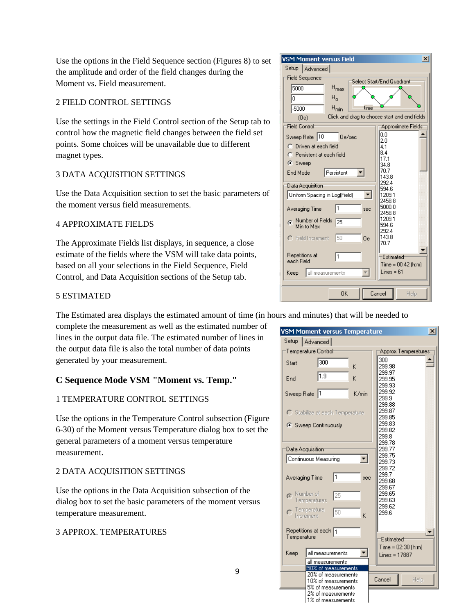Use the options in the Field Sequence section (Figures 8) to set the amplitude and order of the field changes during the Moment vs. Field measurement.

#### 2 FIELD CONTROL SETTINGS

Use the settings in the Field Control section of the Setup tab to control how the magnetic field changes between the field set points. Some choices will be unavailable due to different magnet types.

#### 3 DATA ACQUISITION SETTINGS

Use the Data Acquisition section to set the basic parameters of the moment versus field measurements.

#### 4 APPROXIMATE FIELDS

The Approximate Fields list displays, in sequence, a close estimate of the fields where the VSM will take data points, based on all your selections in the Field Sequence, Field Control, and Data Acquisition sections of the Setup tab.

#### 5 ESTIMATED

The Estimated area displays the estimated amount of time (in hours and minutes) that will be needed to

complete the measurement as well as the estimated number of lines in the output data file. The estimated number of lines in the output data file is also the total number of data points generated by your measurement.

### **C Sequence Mode VSM "Moment vs. Temp."**

#### 1 TEMPERATURE CONTROL SETTINGS

Use the options in the Temperature Control subsection (Figure 6-30) of the Moment versus Temperature dialog box to set the general parameters of a moment versus temperature measurement.

#### 2 DATA ACQUISITION SETTINGS

Use the options in the Data Acquisition subsection of the dialog box to set the basic parameters of the moment versus temperature measurement.

#### 3 APPROX. TEMPERATURES



|                | VSM Moment versus Temperature                                    | $\vert x \vert$                             |
|----------------|------------------------------------------------------------------|---------------------------------------------|
| Setup          | Advanced                                                         |                                             |
|                | Temperature Control                                              | Approx.Temperatures <sup>.</sup>            |
| Start          | 1300<br>K                                                        | 300<br>299.98                               |
| End            | 1.9<br>K                                                         | 299.97<br>299.95<br>299.93                  |
| Sweep Rate  1  | K/min                                                            | 299.92<br>299.9                             |
|                | C Stabilize at each Temperature                                  | 299.88<br>299.87<br>299.85                  |
|                | C Sweep Continuously                                             | 299.83<br>299.82<br>299.8                   |
|                | Data Acquisition                                                 | 299.78<br>299.77<br>299.75                  |
|                | Continuous Measuring                                             | 299.73                                      |
| Averaging Time | l1<br>sec                                                        | 299.72<br>299.7<br>299.68<br>299.67         |
| Ġ              | Number of<br>25<br>Temperatures                                  | 299.65<br>299.63<br>299.62                  |
|                | Temperature<br>50<br>K<br>Increment                              | 299.6                                       |
| Temperature    | Repetitions at each 1                                            | Estimated                                   |
| Keep           | all measurements                                                 | $Time = 02:30$ ( $h$ :m)<br>$Lines = 17887$ |
|                | all measurements<br>50% of measurements                          |                                             |
|                | 20% of measurements<br>10% of measurements<br>5% of measurements | Cancel<br>Help                              |
|                | 2% of measurements<br>1% of measurements                         |                                             |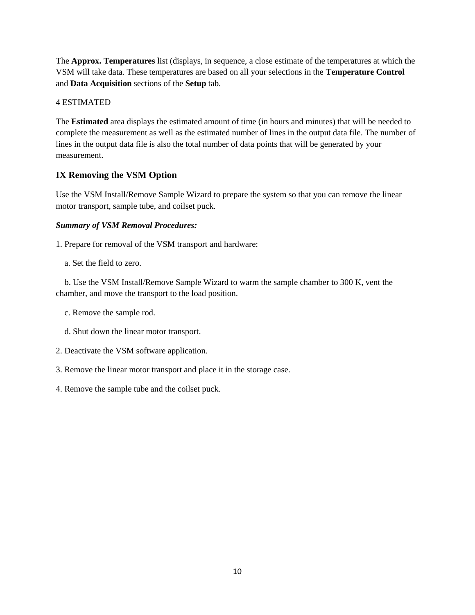The **Approx. Temperatures** list (displays, in sequence, a close estimate of the temperatures at which the VSM will take data. These temperatures are based on all your selections in the **Temperature Control**  and **Data Acquisition** sections of the **Setup** tab.

### 4 ESTIMATED

The **Estimated** area displays the estimated amount of time (in hours and minutes) that will be needed to complete the measurement as well as the estimated number of lines in the output data file. The number of lines in the output data file is also the total number of data points that will be generated by your measurement.

### **IX Removing the VSM Option**

Use the VSM Install/Remove Sample Wizard to prepare the system so that you can remove the linear motor transport, sample tube, and coilset puck.

#### *Summary of VSM Removal Procedures:*

- 1. Prepare for removal of the VSM transport and hardware:
	- a. Set the field to zero.

 b. Use the VSM Install/Remove Sample Wizard to warm the sample chamber to 300 K, vent the chamber, and move the transport to the load position.

- c. Remove the sample rod.
- d. Shut down the linear motor transport.
- 2. Deactivate the VSM software application.
- 3. Remove the linear motor transport and place it in the storage case.
- 4. Remove the sample tube and the coilset puck.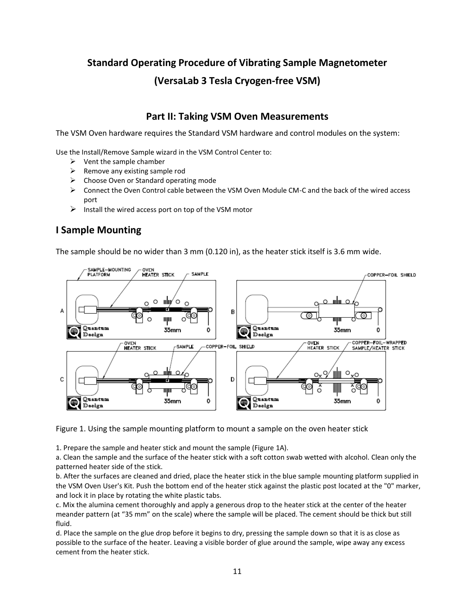# **Standard Operating Procedure of Vibrating Sample Magnetometer**

### **(VersaLab 3 Tesla Cryogen-free VSM)**

### **Part II: Taking VSM Oven Measurements**

The VSM Oven hardware requires the Standard VSM hardware and control modules on the system:

Use the Install/Remove Sample wizard in the VSM Control Center to:

- $\triangleright$  Vent the sample chamber
- $\triangleright$  Remove any existing sample rod
- $\triangleright$  Choose Oven or Standard operating mode
- $\triangleright$  Connect the Oven Control cable between the VSM Oven Module CM-C and the back of the wired access port
- $\triangleright$  Install the wired access port on top of the VSM motor

### **I Sample Mounting**

The sample should be no wider than 3 mm (0.120 in), as the heater stick itself is 3.6 mm wide.



Figure 1. Using the sample mounting platform to mount a sample on the oven heater stick

1. Prepare the sample and heater stick and mount the sample (Figure 1A).

a. Clean the sample and the surface of the heater stick with a soft cotton swab wetted with alcohol. Clean only the patterned heater side of the stick.

b. After the surfaces are cleaned and dried, place the heater stick in the blue sample mounting platform supplied in the VSM Oven User's Kit. Push the bottom end of the heater stick against the plastic post located at the "0" marker, and lock it in place by rotating the white plastic tabs.

c. Mix the alumina cement thoroughly and apply a generous drop to the heater stick at the center of the heater meander pattern (at "35 mm" on the scale) where the sample will be placed. The cement should be thick but still fluid.

d. Place the sample on the glue drop before it begins to dry, pressing the sample down so that it is as close as possible to the surface of the heater. Leaving a visible border of glue around the sample, wipe away any excess cement from the heater stick.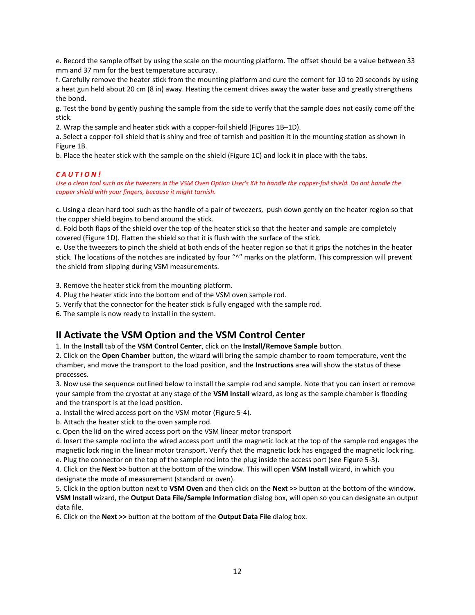e. Record the sample offset by using the scale on the mounting platform. The offset should be a value between 33 mm and 37 mm for the best temperature accuracy.

f. Carefully remove the heater stick from the mounting platform and cure the cement for 10 to 20 seconds by using a heat gun held about 20 cm (8 in) away. Heating the cement drives away the water base and greatly strengthens the bond.

g. Test the bond by gently pushing the sample from the side to verify that the sample does not easily come off the stick.

2. Wrap the sample and heater stick with a copper-foil shield (Figures 1B–1D).

a. Select a copper-foil shield that is shiny and free of tarnish and position it in the mounting station as shown in Figure 1B.

b. Place the heater stick with the sample on the shield (Figure 1C) and lock it in place with the tabs.

#### *C A U T I O N !*

*Use a clean tool such as the tweezers in the VSM Oven Option User's Kit to handle the copper-foil shield. Do not handle the copper shield with your fingers, because it might tarnish.*

c. Using a clean hard tool such as the handle of a pair of tweezers, push down gently on the heater region so that the copper shield begins to bend around the stick.

d. Fold both flaps of the shield over the top of the heater stick so that the heater and sample are completely covered (Figure 1D). Flatten the shield so that it is flush with the surface of the stick.

e. Use the tweezers to pinch the shield at both ends of the heater region so that it grips the notches in the heater stick. The locations of the notches are indicated by four "^" marks on the platform. This compression will prevent the shield from slipping during VSM measurements.

3. Remove the heater stick from the mounting platform.

- 4. Plug the heater stick into the bottom end of the VSM oven sample rod.
- 5. Verify that the connector for the heater stick is fully engaged with the sample rod.

6. The sample is now ready to install in the system.

### **II Activate the VSM Option and the VSM Control Center**

1. In the **Install** tab of the **VSM Control Center**, click on the **Install/Remove Sample** button.

2. Click on the **Open Chamber** button, the wizard will bring the sample chamber to room temperature, vent the chamber, and move the transport to the load position, and the **Instructions** area will show the status of these processes.

3. Now use the sequence outlined below to install the sample rod and sample. Note that you can insert or remove your sample from the cryostat at any stage of the **VSM Install** wizard, as long as the sample chamber is flooding and the transport is at the load position.

a. Install the wired access port on the VSM motor (Figure 5-4).

b. Attach the heater stick to the oven sample rod.

c. Open the lid on the wired access port on the VSM linear motor transport

d. Insert the sample rod into the wired access port until the magnetic lock at the top of the sample rod engages the magnetic lock ring in the linear motor transport. Verify that the magnetic lock has engaged the magnetic lock ring. e. Plug the connector on the top of the sample rod into the plug inside the access port (see Figure 5-3).

4. Click on the **Next >>** button at the bottom of the window. This will open **VSM Install** wizard, in which you designate the mode of measurement (standard or oven).

5. Click in the option button next to **VSM Oven** and then click on the **Next >>** button at the bottom of the window. **VSM Install** wizard, the **Output Data File/Sample Information** dialog box, will open so you can designate an output data file.

6. Click on the **Next >>** button at the bottom of the **Output Data File** dialog box.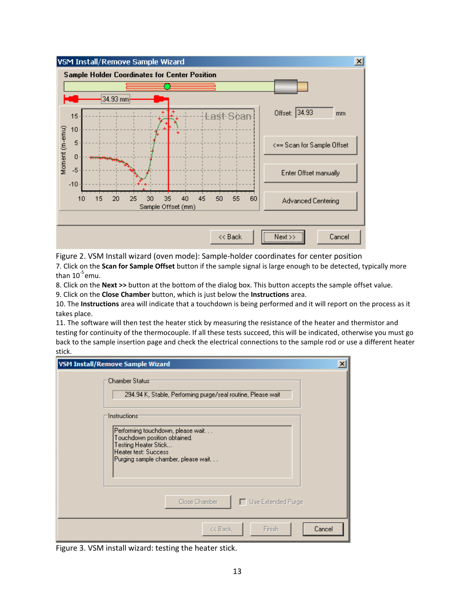

Figure 2. VSM Install wizard (oven mode): Sample-holder coordinates for center position

7. Click on the **Scan for Sample Offset** button if the sample signal is large enough to be detected, typically more than  $10^{-5}$ emu.

8. Click on the **Next >>** button at the bottom of the dialog box. This button accepts the sample offset value. 9. Click on the **Close Chamber** button, which is just below the **Instructions** area.

10. The **Instructions** area will indicate that a touchdown is being performed and it will report on the process as it takes place.

11. The software will then test the heater stick by measuring the resistance of the heater and thermistor and testing for continuity of the thermocouple. If all these tests succeed, this will be indicated, otherwise you must go back to the sample insertion page and check the electrical connections to the sample rod or use a different heater stick.

| <b>VSM Install/Remove Sample Wizard</b>                                                                                                                                                 |        |
|-----------------------------------------------------------------------------------------------------------------------------------------------------------------------------------------|--------|
| Chamber Status <sup>.</sup><br>294.94 K, Stable, Performing purge/seal routine, Please wait                                                                                             |        |
| Instructions <sup>.</sup><br>Performing touchdown, please wait.<br>Touchdown position obtained.<br>Testing Heater Stick<br>Heater test: Success<br>Purging sample chamber, please wait. |        |
| Use Extended Purge<br>Close Chamber                                                                                                                                                     |        |
| Finish<br><< Back                                                                                                                                                                       | Cancel |

Figure 3. VSM install wizard: testing the heater stick.